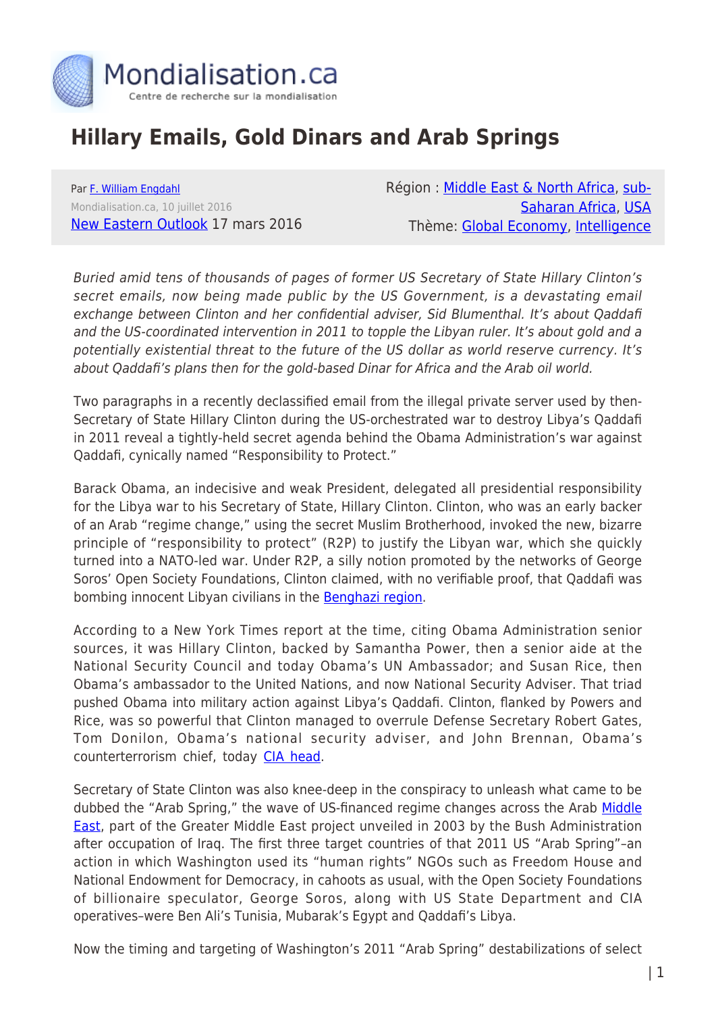

## **Hillary Emails, Gold Dinars and Arab Springs**

Par [F. William Engdahl](https://www.mondialisation.ca/author/f-william-engdahl) Mondialisation.ca, 10 juillet 2016 [New Eastern Outlook](http://journal-neo.org/2016/03/17/hillary-emails-gold-dinars-and-arab-springs/) 17 mars 2016 Région : [Middle East & North Africa](https://www.mondialisation.ca/region/middle-east), [sub-](https://www.mondialisation.ca/region/sub-saharan-africa)[Saharan Africa,](https://www.mondialisation.ca/region/sub-saharan-africa) [USA](https://www.mondialisation.ca/region/usa) Thème: [Global Economy,](https://www.mondialisation.ca/theme/global-economy) [Intelligence](https://www.mondialisation.ca/theme/intelligence)

Buried amid tens of thousands of pages of former US Secretary of State Hillary Clinton's secret emails, now being made public by the US Government, is a devastating email exchange between Clinton and her confidential adviser, Sid Blumenthal. It's about Qaddafi and the US-coordinated intervention in 2011 to topple the Libyan ruler. It's about gold and a potentially existential threat to the future of the US dollar as world reserve currency. It's about Qaddafi's plans then for the gold-based Dinar for Africa and the Arab oil world.

Two paragraphs in a recently declassified email from the illegal private server used by then-Secretary of State Hillary Clinton during the US-orchestrated war to destroy Libya's Qaddafi in 2011 reveal a tightly-held secret agenda behind the Obama Administration's war against Qaddafi, cynically named "Responsibility to Protect."

Barack Obama, an indecisive and weak President, delegated all presidential responsibility for the Libya war to his Secretary of State, Hillary Clinton. Clinton, who was an early backer of an Arab "regime change," using the secret Muslim Brotherhood, invoked the new, bizarre principle of "responsibility to protect" (R2P) to justify the Libyan war, which she quickly turned into a NATO-led war. Under R2P, a silly notion promoted by the networks of George Soros' Open Society Foundations, Clinton claimed, with no verifiable proof, that Qaddafi was bombing innocent Libyan civilians in the **Benghazi region**.

According to a New York Times report at the time, citing Obama Administration senior sources, it was Hillary Clinton, backed by Samantha Power, then a senior aide at the National Security Council and today Obama's UN Ambassador; and Susan Rice, then Obama's ambassador to the United Nations, and now National Security Adviser. That triad pushed Obama into military action against Libya's Qaddafi. Clinton, flanked by Powers and Rice, was so powerful that Clinton managed to overrule Defense Secretary Robert Gates, Tom Donilon, Obama's national security adviser, and John Brennan, Obama's counterterrorism chief, today [CIA head.](http://www.thenation.com/article/obamas-women-advisers-pushed-war-against-libya/)

Secretary of State Clinton was also knee-deep in the conspiracy to unleash what came to be dubbed the "Arab Spring," the wave of US-financed regime changes across the Arab [Middle](http://www.state.gov/secretary/20092013clinton/rm/2011/01/154595.htm) **[East,](http://www.state.gov/secretary/20092013clinton/rm/2011/01/154595.htm) part of the Greater Middle East project unveiled in 2003 by the Bush Administration** after occupation of Iraq. The first three target countries of that 2011 US "Arab Spring"–an action in which Washington used its "human rights" NGOs such as Freedom House and National Endowment for Democracy, in cahoots as usual, with the Open Society Foundations of billionaire speculator, George Soros, along with US State Department and CIA operatives–were Ben Ali's Tunisia, Mubarak's Egypt and Qaddafi's Libya.

Now the timing and targeting of Washington's 2011 "Arab Spring" destabilizations of select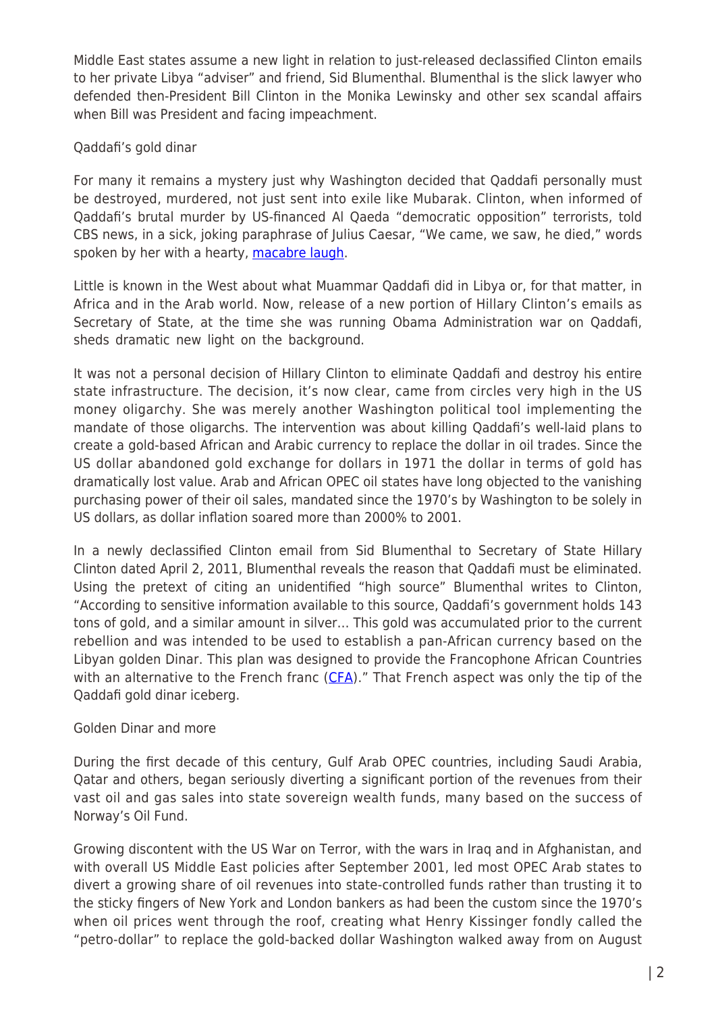Middle East states assume a new light in relation to just-released declassified Clinton emails to her private Libya "adviser" and friend, Sid Blumenthal. Blumenthal is the slick lawyer who defended then-President Bill Clinton in the Monika Lewinsky and other sex scandal affairs when Bill was President and facing impeachment.

## Qaddafi's gold dinar

For many it remains a mystery just why Washington decided that Qaddafi personally must be destroyed, murdered, not just sent into exile like Mubarak. Clinton, when informed of Qaddafi's brutal murder by US-financed Al Qaeda "democratic opposition" terrorists, told CBS news, in a sick, joking paraphrase of Julius Caesar, "We came, we saw, he died," words spoken by her with a hearty, [macabre laugh](http://www.cbsnews.com/news/clinton-on-qaddafi-we-came-we-saw-he-died).

Little is known in the West about what Muammar Qaddafi did in Libya or, for that matter, in Africa and in the Arab world. Now, release of a new portion of Hillary Clinton's emails as Secretary of State, at the time she was running Obama Administration war on Qaddafi, sheds dramatic new light on the background.

It was not a personal decision of Hillary Clinton to eliminate Qaddafi and destroy his entire state infrastructure. The decision, it's now clear, came from circles very high in the US money oligarchy. She was merely another Washington political tool implementing the mandate of those oligarchs. The intervention was about killing Qaddafi's well-laid plans to create a gold-based African and Arabic currency to replace the dollar in oil trades. Since the US dollar abandoned gold exchange for dollars in 1971 the dollar in terms of gold has dramatically lost value. Arab and African OPEC oil states have long objected to the vanishing purchasing power of their oil sales, mandated since the 1970's by Washington to be solely in US dollars, as dollar inflation soared more than 2000% to 2001.

In a newly declassified Clinton email from Sid Blumenthal to Secretary of State Hillary Clinton dated April 2, 2011, Blumenthal reveals the reason that Qaddafi must be eliminated. Using the pretext of citing an unidentified "high source" Blumenthal writes to Clinton, "According to sensitive information available to this source, Qaddafi's government holds 143 tons of gold, and a similar amount in silver… This gold was accumulated prior to the current rebellion and was intended to be used to establish a pan-African currency based on the Libyan golden Dinar. This plan was designed to provide the Francophone African Countries with an alternative to the French franc  $(CFA)$ ." That French aspect was only the tip of the Qaddafi gold dinar iceberg.

## Golden Dinar and more

During the first decade of this century, Gulf Arab OPEC countries, including Saudi Arabia, Qatar and others, began seriously diverting a significant portion of the revenues from their vast oil and gas sales into state sovereign wealth funds, many based on the success of Norway's Oil Fund.

Growing discontent with the US War on Terror, with the wars in Iraq and in Afghanistan, and with overall US Middle East policies after September 2001, led most OPEC Arab states to divert a growing share of oil revenues into state-controlled funds rather than trusting it to the sticky fingers of New York and London bankers as had been the custom since the 1970's when oil prices went through the roof, creating what Henry Kissinger fondly called the "petro-dollar" to replace the gold-backed dollar Washington walked away from on August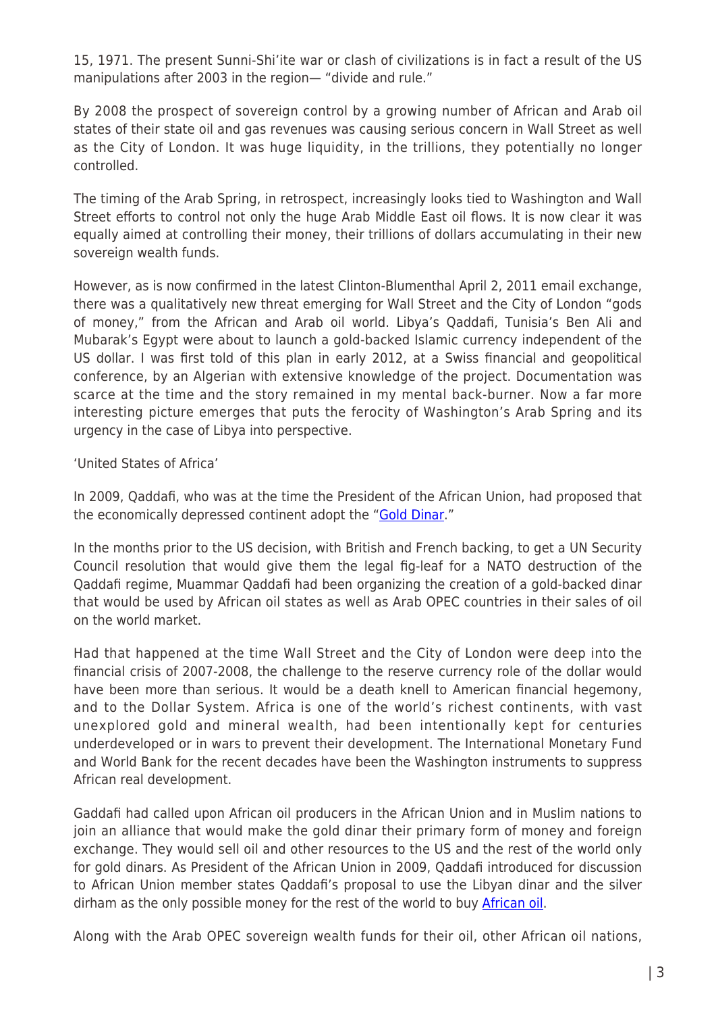15, 1971. The present Sunni-Shi'ite war or clash of civilizations is in fact a result of the US manipulations after 2003 in the region— "divide and rule."

By 2008 the prospect of sovereign control by a growing number of African and Arab oil states of their state oil and gas revenues was causing serious concern in Wall Street as well as the City of London. It was huge liquidity, in the trillions, they potentially no longer controlled.

The timing of the Arab Spring, in retrospect, increasingly looks tied to Washington and Wall Street efforts to control not only the huge Arab Middle East oil flows. It is now clear it was equally aimed at controlling their money, their trillions of dollars accumulating in their new sovereign wealth funds.

However, as is now confirmed in the latest Clinton-Blumenthal April 2, 2011 email exchange, there was a qualitatively new threat emerging for Wall Street and the City of London "gods of money," from the African and Arab oil world. Libya's Qaddafi, Tunisia's Ben Ali and Mubarak's Egypt were about to launch a gold-backed Islamic currency independent of the US dollar. I was first told of this plan in early 2012, at a Swiss financial and geopolitical conference, by an Algerian with extensive knowledge of the project. Documentation was scarce at the time and the story remained in my mental back-burner. Now a far more interesting picture emerges that puts the ferocity of Washington's Arab Spring and its urgency in the case of Libya into perspective.

'United States of Africa'

In 2009, Qaddafi, who was at the time the President of the African Union, had proposed that the economically depressed continent adopt the "[Gold Dinar](http://www.wnd.com/2011/08/337881/#fQbTdeRLfVczxYqc.99)."

In the months prior to the US decision, with British and French backing, to get a UN Security Council resolution that would give them the legal fig-leaf for a NATO destruction of the Qaddafi regime, Muammar Qaddafi had been organizing the creation of a gold-backed dinar that would be used by African oil states as well as Arab OPEC countries in their sales of oil on the world market.

Had that happened at the time Wall Street and the City of London were deep into the financial crisis of 2007-2008, the challenge to the reserve currency role of the dollar would have been more than serious. It would be a death knell to American financial hegemony, and to the Dollar System. Africa is one of the world's richest continents, with vast unexplored gold and mineral wealth, had been intentionally kept for centuries underdeveloped or in wars to prevent their development. The International Monetary Fund and World Bank for the recent decades have been the Washington instruments to suppress African real development.

Gaddafi had called upon African oil producers in the African Union and in Muslim nations to join an alliance that would make the gold dinar their primary form of money and foreign exchange. They would sell oil and other resources to the US and the rest of the world only for gold dinars. As President of the African Union in 2009, Qaddafi introduced for discussion to African Union member states Qaddafi's proposal to use the Libyan dinar and the silver dirham as the only possible money for the rest of the world to buy [African oil.](http://www.youshouldbuygold.com/2011/10/end-of-african-gold-standard-the-oil-gold-relationship/)

Along with the Arab OPEC sovereign wealth funds for their oil, other African oil nations,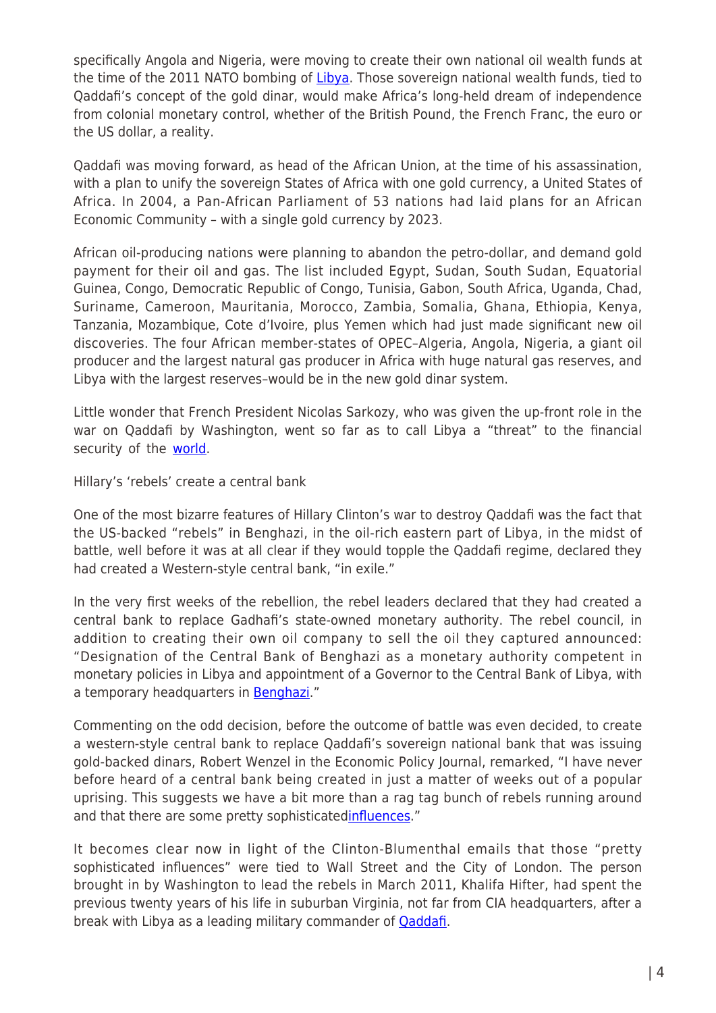specifically Angola and Nigeria, were moving to create their own national oil wealth funds at the time of the 2011 NATO bombing of [Libya](http://www.thisisafricaonline.com/Policy/Rise-of-the-African-sovereign-wealth-fund?ct=true). Those sovereign national wealth funds, tied to Qaddafi's concept of the gold dinar, would make Africa's long-held dream of independence from colonial monetary control, whether of the British Pound, the French Franc, the euro or the US dollar, a reality.

Qaddafi was moving forward, as head of the African Union, at the time of his assassination, with a plan to unify the sovereign States of Africa with one gold currency, a United States of Africa. In 2004, a Pan-African Parliament of 53 nations had laid plans for an African Economic Community – with a single gold currency by 2023.

African oil-producing nations were planning to abandon the petro-dollar, and demand gold payment for their oil and gas. The list included Egypt, Sudan, South Sudan, Equatorial Guinea, Congo, Democratic Republic of Congo, Tunisia, Gabon, South Africa, Uganda, Chad, Suriname, Cameroon, Mauritania, Morocco, Zambia, Somalia, Ghana, Ethiopia, Kenya, Tanzania, Mozambique, Cote d'Ivoire, plus Yemen which had just made significant new oil discoveries. The four African member-states of OPEC–Algeria, Angola, Nigeria, a giant oil producer and the largest natural gas producer in Africa with huge natural gas reserves, and Libya with the largest reserves–would be in the new gold dinar system.

Little wonder that French President Nicolas Sarkozy, who was given the up-front role in the war on Qaddafi by Washington, went so far as to call Libya a "threat" to the financial security of the [world.](http://www.thenewamerican.com/economy/markets/item/4630-gadhafi-s-gold-money-plan-would-have-devastated-dollar)

Hillary's 'rebels' create a central bank

One of the most bizarre features of Hillary Clinton's war to destroy Qaddafi was the fact that the US-backed "rebels" in Benghazi, in the oil-rich eastern part of Libya, in the midst of battle, well before it was at all clear if they would topple the Qaddafi regime, declared they had created a Western-style central bank, "in exile."

In the very first weeks of the rebellion, the rebel leaders declared that they had created a central bank to replace Gadhafi's state-owned monetary authority. The rebel council, in addition to creating their own oil company to sell the oil they captured announced: "Designation of the Central Bank of Benghazi as a monetary authority competent in monetary policies in Libya and appointment of a Governor to the Central Bank of Libya, with a temporary headquarters in [Benghazi.](http://www.thenewamerican.com/economy/markets/item/4630-gadhafi-s-gold-money-plan-would-have-devastated-dollar)"

Commenting on the odd decision, before the outcome of battle was even decided, to create a western-style central bank to replace Qaddafi's sovereign national bank that was issuing gold-backed dinars, Robert Wenzel in the Economic Policy Journal, remarked, "I have never before heard of a central bank being created in just a matter of weeks out of a popular uprising. This suggests we have a bit more than a rag tag bunch of rebels running around and that there are some pretty sophisticated[influences](http://www.thenewamerican.com/economy/markets/item/4630-gadhafi-s-gold-money-plan-would-have-devastated-dollar)."

It becomes clear now in light of the Clinton-Blumenthal emails that those "pretty sophisticated influences" were tied to Wall Street and the City of London. The person brought in by Washington to lead the rebels in March 2011, Khalifa Hifter, had spent the previous twenty years of his life in suburban Virginia, not far from CIA headquarters, after a break with Libya as a leading military commander of **[Qaddafi](http://www.mcclatchydc.com/news/nation-world/world/middle-east/article24618421.html#storylink=cpy)**.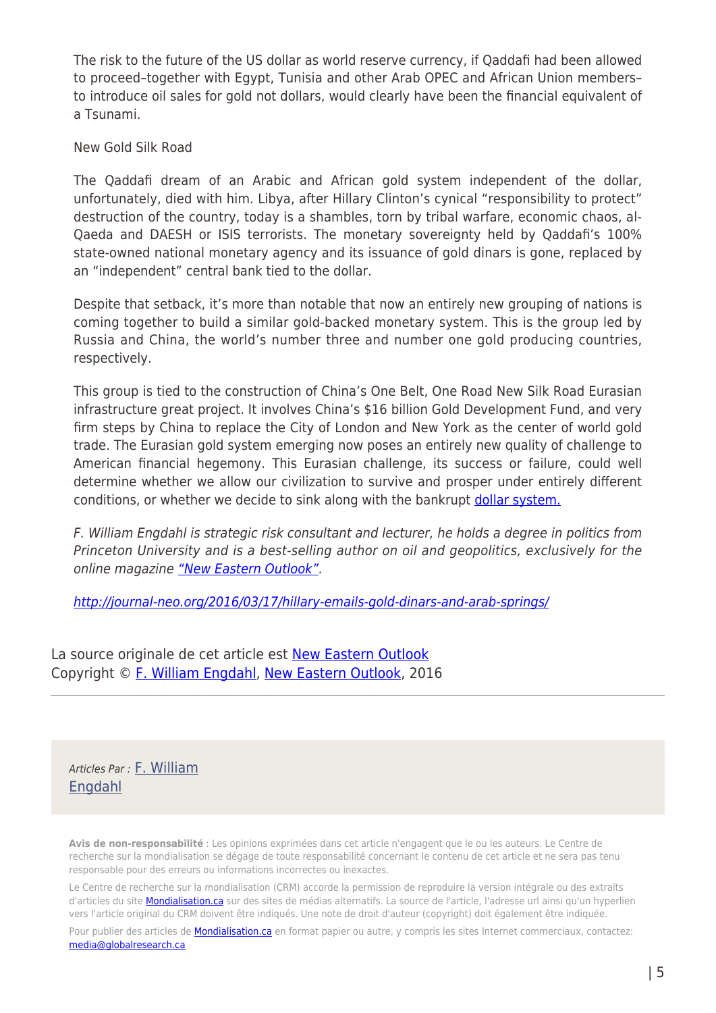The risk to the future of the US dollar as world reserve currency, if Qaddafi had been allowed to proceed–together with Egypt, Tunisia and other Arab OPEC and African Union members– to introduce oil sales for gold not dollars, would clearly have been the financial equivalent of a Tsunami.

## New Gold Silk Road

The Qaddafi dream of an Arabic and African gold system independent of the dollar, unfortunately, died with him. Libya, after Hillary Clinton's cynical "responsibility to protect" destruction of the country, today is a shambles, torn by tribal warfare, economic chaos, al-Qaeda and DAESH or ISIS terrorists. The monetary sovereignty held by Qaddafi's 100% state-owned national monetary agency and its issuance of gold dinars is gone, replaced by an "independent" central bank tied to the dollar.

Despite that setback, it's more than notable that now an entirely new grouping of nations is coming together to build a similar gold-backed monetary system. This is the group led by Russia and China, the world's number three and number one gold producing countries, respectively.

This group is tied to the construction of China's One Belt, One Road New Silk Road Eurasian infrastructure great project. It involves China's \$16 billion Gold Development Fund, and very firm steps by China to replace the City of London and New York as the center of world gold trade. The Eurasian gold system emerging now poses an entirely new quality of challenge to American financial hegemony. This Eurasian challenge, its success or failure, could well determine whether we allow our civilization to survive and prosper under entirely different conditions, or whether we decide to sink along with the bankrupt [dollar system.](http://journal-neo.org/2015/08/12/the-worth-of-gold-growing-by-the-day/)

F. William Engdahl is strategic risk consultant and lecturer, he holds a degree in politics from Princeton University and is a best-selling author on oil and geopolitics, exclusively for the online magazine ["New Eastern Outlook"](http://journal-neo.org/).

<http://journal-neo.org/2016/03/17/hillary-emails-gold-dinars-and-arab-springs/>

La source originale de cet article est [New Eastern Outlook](http://journal-neo.org/2016/03/17/hillary-emails-gold-dinars-and-arab-springs/) Copyright © [F. William Engdahl](https://www.mondialisation.ca/author/f-william-engdahl), [New Eastern Outlook,](http://journal-neo.org/2016/03/17/hillary-emails-gold-dinars-and-arab-springs/) 2016

Articles Par : [F. William](https://www.mondialisation.ca/author/f-william-engdahl) [Engdahl](https://www.mondialisation.ca/author/f-william-engdahl)

**Avis de non-responsabilité** : Les opinions exprimées dans cet article n'engagent que le ou les auteurs. Le Centre de recherche sur la mondialisation se dégage de toute responsabilité concernant le contenu de cet article et ne sera pas tenu responsable pour des erreurs ou informations incorrectes ou inexactes.

Le Centre de recherche sur la mondialisation (CRM) accorde la permission de reproduire la version intégrale ou des extraits d'articles du site **Mondialisation.ca** sur des sites de médias alternatifs. La source de l'article, l'adresse url ainsi qu'un hyperlien vers l'article original du CRM doivent être indiqués. Une note de droit d'auteur (copyright) doit également être indiquée.

Pour publier des articles de [Mondialisation.ca](https://mondialisation.ca) en format papier ou autre, y compris les sites Internet commerciaux, contactez: [media@globalresearch.ca](mailto:media@globalresearch.ca)